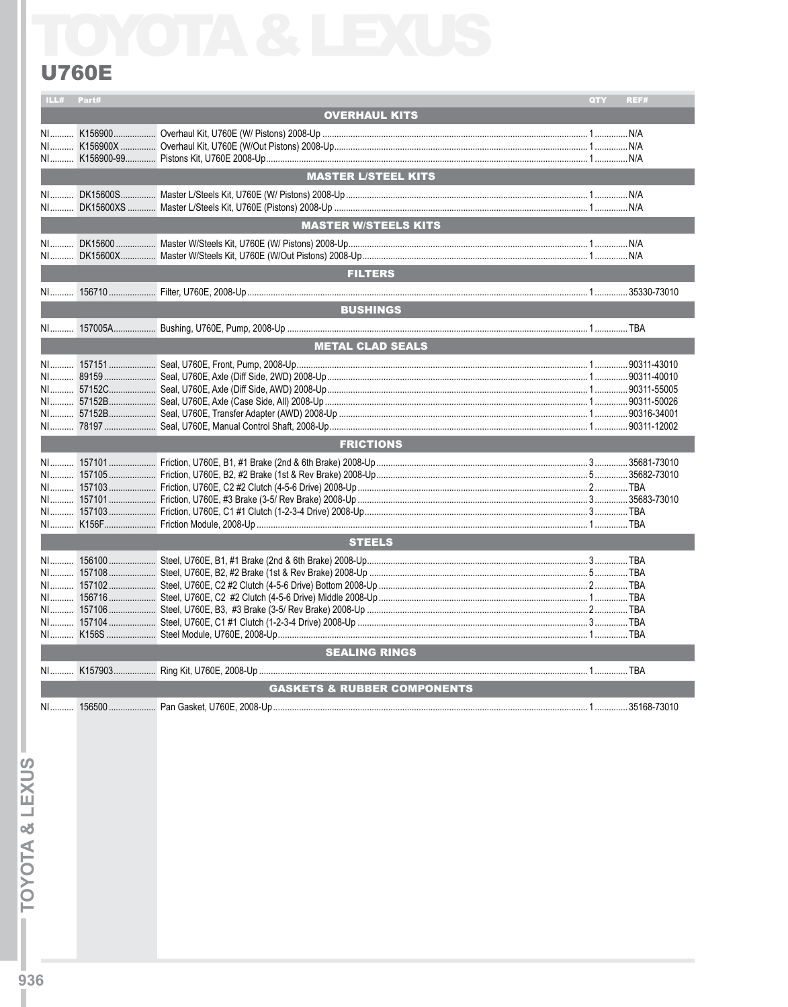## **U760E**

| ILL# Part# |                                        | QTY <b>Q</b> | REF# |
|------------|----------------------------------------|--------------|------|
|            | <b>OVERHAUL KITS</b>                   |              |      |
|            |                                        |              |      |
|            |                                        |              |      |
|            |                                        |              |      |
|            |                                        |              |      |
|            | <b>MASTER L/STEEL KITS</b>             |              |      |
|            |                                        |              |      |
|            |                                        |              |      |
|            | <b>MASTER W/STEELS KITS</b>            |              |      |
|            |                                        |              |      |
|            |                                        |              |      |
|            | <b>FILTERS</b>                         |              |      |
|            |                                        |              |      |
|            |                                        |              |      |
|            | <b>BUSHINGS</b>                        |              |      |
|            |                                        |              |      |
|            |                                        |              |      |
|            | <b>METAL CLAD SEALS</b>                |              |      |
|            |                                        |              |      |
|            |                                        |              |      |
|            |                                        |              |      |
|            |                                        |              |      |
|            |                                        |              |      |
|            |                                        |              |      |
|            | <b>FRICTIONS</b>                       |              |      |
|            |                                        |              |      |
|            |                                        |              |      |
|            |                                        |              |      |
|            |                                        |              |      |
|            |                                        |              |      |
|            |                                        |              |      |
|            | <b>STEELS</b>                          |              |      |
|            |                                        |              |      |
|            |                                        |              |      |
|            |                                        |              |      |
|            |                                        |              |      |
|            |                                        |              |      |
|            |                                        |              |      |
|            |                                        |              |      |
|            |                                        |              |      |
|            | <b>SEALING RINGS</b>                   |              |      |
|            | N1 K157903 Ring Kit, U760E, 2008-Up    |              |      |
|            | <b>GASKETS &amp; RUBBER COMPONENTS</b> |              |      |
|            |                                        |              |      |
|            |                                        |              |      |